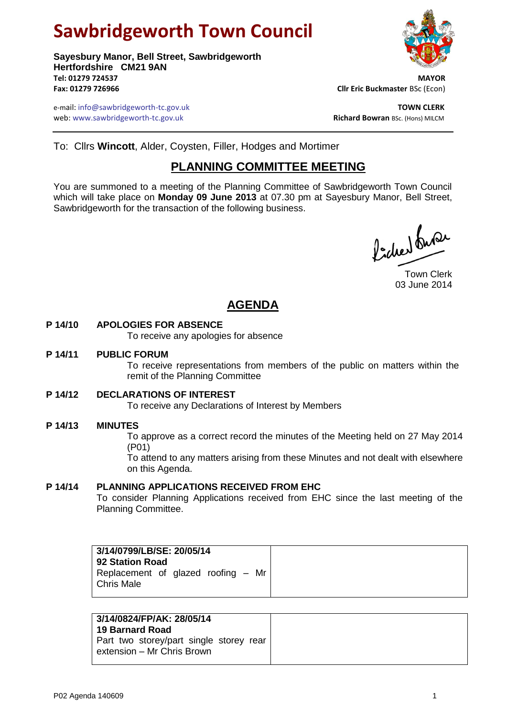# **Sawbridgeworth Town Council**

**Sayesbury Manor, Bell Street, Sawbridgeworth Hertfordshire CM21 9AN Tel: 01279 724537 MAYOR Fax: 01279 726966 Cllr Eric Buckmaster** BSc (Econ)

e-mail: info@sawbridgeworth-tc.gov.uk<br>**Web:** www.sawbridgeworth-tc.gov.uk **TOWN CLERK**<br>**Richard Bowran** BSc. (Hons) MILCM web: www.sawbridgeworth-tc.gov.uk



To: Cllrs **Wincott**, Alder, Coysten, Filler, Hodges and Mortimer

## **PLANNING COMMITTEE MEETING**

You are summoned to a meeting of the Planning Committee of Sawbridgeworth Town Council which will take place on **Monday 09 June 2013** at 07.30 pm at Sayesbury Manor, Bell Street, Sawbridgeworth for the transaction of the following business.

Picked fune

Town Clerk 03 June 2014

# **AGENDA**

## **P 14/10 APOLOGIES FOR ABSENCE**

To receive any apologies for absence

## **P 14/11 PUBLIC FORUM**

To receive representations from members of the public on matters within the remit of the Planning Committee

## **P 14/12 DECLARATIONS OF INTEREST**

To receive any Declarations of Interest by Members

## **P 14/13 MINUTES**

To approve as a correct record the minutes of the Meeting held on 27 May 2014 (P01)

To attend to any matters arising from these Minutes and not dealt with elsewhere on this Agenda.

#### **P 14/14 PLANNING APPLICATIONS RECEIVED FROM EHC**

To consider Planning Applications received from EHC since the last meeting of the Planning Committee.

| 3/14/0799/LB/SE: 20/05/14<br>92 Station Road |                                    |
|----------------------------------------------|------------------------------------|
| <b>Chris Male</b>                            | Replacement of glazed roofing – Mr |

## **3/14/0824/FP/AK: 28/05/14 19 Barnard Road** Part two storey/part single storey rear extension – Mr Chris Brown